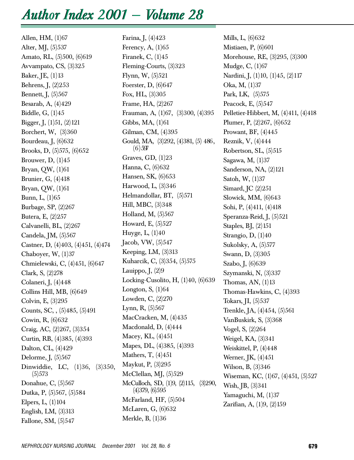# *Author Index 2001 — Volume 28*

Allen, HM, (1)67 Alter, MJ, (5)537 Amato, RL, (5)500, (6)619 Avvampato, CS, (3)325 Baker, JE, (1)13 Behrens, J, (2)253 Bennett, J, (5)567 Besarab, A, (4)429 Biddle, G, (1)45 Bigger, J, (1)51, (2)121 Borchert, W,  $(3)360$ Bourdeau, J, (6)632 Brooks, D, (5)575, (6)652 Brouwer, D, (1)45 Bryan, QW, (1)61 Brunier, G, (4)418 Bryan, QW, (1)61 Bunn, L, (1)65 Burbage, SP, (2)267 Butera, E, (2)257 Calvanelli, BL, (2)267 Candela, JM, (5)567 Castner, D, (4)403, (4)451, (4)474 Chaboyer, W, (1)37 Chmielewski, C, (4)451, (6)647 Clark, S, (2)278 Colaneri, J, (4)448 Collins Hill, MB, (6)649 Colvin, E, (3)295 Counts, SC, , (5)485, (5)491 Cowin, R, (6)632 Craig, AC, (2)267, (3)354 Curtin, RB, (4)385, (4)393 Dalton, CL, (4)429 Delorme, J, (5)567 Dinwiddie, LC, (1)36, (3)350,  $(5)573$ Donahue, C, (5)567 Dutka, P, (5)567, (5)584 Elpers, L, (1)104 English, LM, (3)313 Fallone, SM, (5)547

Farina, J, (4)423 Ferency, A, (1)65 Firanek, C, (1)45 Fleming-Courts,  $(3)323$ Flynn, W,  $(5)521$ Foerster, D, (6)647 Fox, HL, (3)305 Frame, HA, (2)267 Frauman, A, (1)67, (3)300, (4)395 Gibbs, MA, (1)61 Gilman, CM, (4)395 Gould, MA, (3)292, (4)381, (5) 486 ,  $(6)597$ Graves, GD, (1)23 Hanna, C, (6)632 Hansen, SK, (6)653 Harwood, L, (3)346 Helmandollar, BT,  $(5)571$ Hill, MBC, (3)348 Holland, M,  $(5)567$ Howard, E, (5)527 Huyge, L, (1)40 Jacob, VW, (5)547 Keeping, LM, (3)313 Kuharcik, C, (3)354, (5)575 Lauippo,  $I, (2)9$ Locking-Cusolito, H,  $(1)40, (6)639$ Longton, S,  $(1)64$ Lowden, C, (2)270 Lynn, R, (5)567 MacCracken, M,  $(4)435$ Macdonald, D, (4)444 Macey, KL, (4)451 Mapes, DL, (4)385, (4)393 Mathers, T, (4)451 Maykut, P, (3)295 McClellan, MJ,  $(5)529$ McCulloch, SD, (1)9, (2)115, (3)290,  $(4)379, (6)595$ McFarland, HF,  $(5)504$ McLaren, G, (6)632

Mills, L, (6)632 Mistiaen, P, (6)601 Morehouse, RE, (3)295, (3)300 Mudge, C, (1)67 Nardini, J, (1)10, (1)45, (2)117 Oka, M, (1)37 Park, LK, (5)575 Peacock, E, (5)547 Pelletier-Hibbert, M, (4)411, (4)418 Plumer, P, (2)267, (6)652 Prowant, BF, (4)445 Reznik, V, (4)444 Robertson, SL, (5)515 Sagawa, M, (1)37 Sanderson, NA, (2)121 Satoh, W, (1)37 Simard, JC (2)251 Slowick, MM, (6)643 Sohi, P, (4)411, (4)418 Speranza-Reid, J,  $(5)521$ Staples, BJ, (2)151 Strangio, D, (1)40 Sukolsky, A, (5)577 Swann, D, (3)305 Szabo, J, (6)639 Szymanski, N, (3)337 Thomas, AN,  $(1)$ 13 Thomas-Hawkins, C, (4)393 Tokars, JI, (5)537 Trenkle, JA, (4)454, (5)561 VanBuskirk, S, (3)368 Vogel, S, (2)264 Weigel, KA, (3)341 Weiskittel, P, (4)448 Werner, JK, (4)451 Wilson, B, (3)346 Wiseman, KC, (1)67, (4)451, (5)527 Wish, JB, (3)341 Yamaguchi, M, (1)37 Zarifian, A, (1)9, (2)159

Merkle, B, (1)36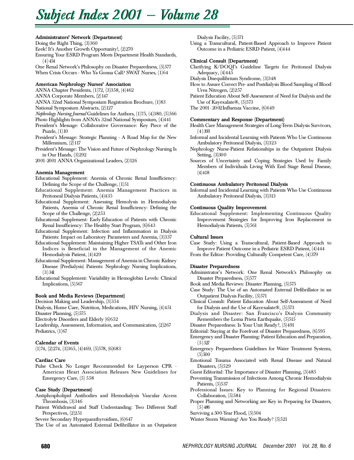# *Subject Subject Index 2001 — Volume 28*

# Administrators' Network (Department)

Doing the Right Thing, (3)360

Eeek! It's Another Growth Opportunity!, (2)270

Ensuring Your ESRD Program Meets Department Health Standards,  $(4)454$ 

One Renal Network's Philosophy on Disaster Preparedness, (5)577 When Crisis Occurs - Who Ya Gonna Call? SWAT Nurses, (1)64

# American Nephrology Nurses' Association

A NNA Chapter Presidents, (1)72, (3)358, (4)462

ANNA Corporate Members,  $(2)$ 147

A NNA 32nd National Symposium Registration Brochure, (1)83

National Symposium Abstracts, (2)127

- *Nephrology Nursing Journal* Guidelines for Authors, (1)75, (4)380, (5)566
- Photo Highlights from ANNA's 32nd National Symposium, (4)441
- President's Message: Collaborative Governance: Key Piece of the Puzzle, (1)10
- President's Message: Strategic Planning A Road Map for the New Millennium, (2)117
- President's Message: The Vision and Future of Nephrology Nursing Is in Our Hands, (3)292

20 01 - 20 01 ANNA Organizational Leaders, (2)126

# Anemia Management

- Educational Supplement: Anemia of Chronic Renal Insufficiency: Defining the Scope of the Challenge,  $(1)51$
- Educational Supplement: Anemia Management Practices in Peritoneal Dialysis Patients, (4)435
- Educational Supplement: Assessing Hemolysis in Hemodialysis Patients, Anemia of Chronic Renal Insufficiency: Defining the Scope of the Challenge, (2)253
- Educational Supplement: Early Education of Patients with Chronic Renal Insufficiency: The Healthy Start Program, (6)643
- Educational Supplement: Infection and Inflammation in Dialysis Patients: Impact on Laboratory Parameters and Anemia, (3)337
- Educational Supplement: Maintaining Higher TSATs and Other Iron Indices is Beneficial in the Management of the Anemic Hemodialysis Patient, (4)429
- Educational Supplement: Management of Anemia in Chronic Kidney Disease (Predialysis) Patients: Nephrology Nursing Implications,  $(3)341$
- Educational Supplement: Variability in Hemoglobin Levels: Clinical Implications, (5)567

# Book and Media Reviews (Department)

Decision Making and Leadership, (3)354

Dialysis, Home Care, Nutrition, Medications, HIV Nursing, (4)451 Disaster Planning, (5)575

Electrolyte Disorders and Elderly (6)652

Leadership, Assessment, Information, and Communication, (2)267 Pediatrics,  $(1)67$ 

# Calendar of Events

 $(1)74, (2)274, (3)365, (4)469, (5)578, (6)683$ 

# Cardiac Care

Pulse Check No Longer Recommended for Layperson CPR - American Heart Association Releases New Guidelines for Emergency Care, (5) 558

# Case Study (Department)

- Antiphospholipid Antibodies and Hemodialysis Vascular Access Thrombosis, (3)346
- Patient Withdrawal and Staff Understanding: Two Different Staff Perspectives, (2)251

Severe Secondary Hyperparathyroidism, (6)647

The Use of an Automated External Defibrillator in an Outpatient

Dialysis Facility, (5)571

Using a Transcultural, Patient-Based Approach to Improve Patient Outcome in a Pediatric ESRD Patient, (4)444

# Clinical Consult (Department)

Clarifying K/DOQI's Guideline Targets for Peritoneal Dialysis Adequacy, (4)445

- Dialysis Disequilibrium Syndrome, (3)348
- How to Assure Correct Pre- and Postdialysis Blood Sampling of Blood Urea Nitrogen, (2)257
- Patient Education About Self-Assessment of Need for Dialysis and the Use of Kayexalate®, (5)573

The 2001 - 2002 Influenza Vaccine, (6) 649

# Commentary and Response (Department)

- Health Care Management Strategies of Long-Term Dialysis Survivors,  $(4)393$
- Informal and Incidental Learning with Patients Who Use Continuous Ambulatory Peritoneal Dialysis, (3)323
- Nephrology Nurse-Patient Relationships in the Outpatient Dialysis Setting, (3)300
- Sources of Uncertainty and Coping Strategies Used by Family Members of Individuals Living With End Stage Renal Disease,  $(4)418$

# Continuous Ambulatory Peritoneal Dialysis

Informal and Incidental Learning with Patients Who Use Continuous Ambulatory Peritoneal Dialysis, (3)313

# Continuous Quality Improvement

Educational Supplement: Implementing Continuous Quality Improvement Strategies for Improving Iron Replacement in Hemodialysis Patients, (5)561

# Cultural Issues

Case Study: Using a Transcultural, Patient-Based Approach to Improve Patient Outcome in a Pediatric ESRD Patient, (4)444 From the Editor: Providing Culturally Competent Care, (4)379

# Disaster Preparedness

- Administrator's Network: One Renal Network's Philosophy on Disaster Preparedness, (5)577
- Book and Media Reviews: Disaster Planning, (5)575
- Case Study: The Use of an Automated External Defibrillator in an Outpatient Dialysis Facility, (5)571
- Clinical Consult: Patient Education About Self-Assessment of Need for Dialysis and the Use of Kayexalate®, (5)573
- Dialysis and Disaster: San Francisco's Dialysis Community Remembers the Loma Prieta Earthquake, (5)515
- Disaster Preparedness: Is Your Unit Ready?, (5)491
- Editorial: Staying at the Forefront of Disaster Preparedness, (6)595
- Emergency and Disaster Planning: Patient Education and Preparation,  $(5)527$
- Emergency Preparedness Guidelines for Water Treatment Systems,  $(5)500$
- Emotional Trauma Associated with Renal Disease and Natural Disasters,  $(5)529$
- Guest Editorital: The Importance of Disaster Planning, (5)485
- Preventing Transmission of Infections Among Chronic Hemodialysis Patients,  $(5)537$
- Professional Issues: Key to Planning for Regional Disasters: Collaboration, (5)584
- Proper Planning and Networking are Key in Preparing for Disasters,  $(5)486$
- Surviving a 500-Year Flood, (5)504
- Winter Storm Warning! Are You Ready? (5)521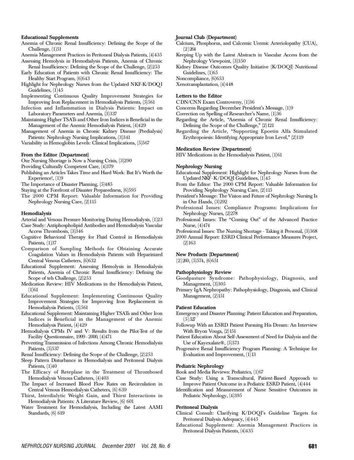#### Educational Supplements

Anemia of Chronic Renal Insufficiency: Defining the Scope of the Challenge, (1)51

Anemia Management Practices in Peritoneal Dialysis Patients, (4)435 Assessing Hemolysis in Hemodialysis Patients, Anemia of Chronic

Renal Insufficiency: Defining the Scope of the Challenge, (2)253 Early Education of Patients with Chronic Renal Insufficiency: The Healthy Start Program, (6)643

Highlight for Nephrology Nurses from the Updated NKF-K/DOQI Guidelines,  $(1)45$ 

Implementing Continuous Quality Improvement Strategies for Improving Iron Replacement in Hemodialysis Patients, (5)561

Infection and Inflammation in Dialysis Patients: Impact on Laboratory Parameters and Anemia, (3)337

Maintaining Higher TSATs and Other Iron Indices is Beneficial in the Management of the Anemic Hemodialysis Patient, (4)429

Management of Anemia in Chronic Kidney Disease (Predialysis) Patients: Nephrology Nursing Implications, (3)341

Variability in Hemoglobin Levels: Clinical Implications, (5)567

#### From the Editor (Department)

Our Nursing Shortage is Now a Nursing Crisis, (3)290

Providing Culturally Competent Care, (4)379

Publishing an Articles Takes Time and Hard Work: But It's Worth the Experience!, (1)9

The Importance of Disaster Planning, (5)485

Staying at the Forefront of Disaster Preparedness, (6)595

The 2000 CPM Report: Valuable Information for Providing Nephrology Nursing Care, (2)115

# He modialysis

Arterial and Venous Pressure Monitoring During Hemodialysis, (1)23 Case Study: Antiphospholipid Antibodies and Hemodialysis Vascular Access Thrombosis, (3)346

- Cognitive Behavioral Therapy for Fluid Control in Hemodialysis Patients, (1)37
- Comparison of Sampling Methods for Obtaining Accurate Coagulation Values in Hemodialysis Patients with Heparinized Central Venous Catheters, (6)632
- Educational Supplement: Assessing Hemolysis in Hemodialysis Patients, Anemia of Chronic Renal Insufficiency: Defining the Scope of teh Challenge, (2)253
- Medication Review: HIV Medications in the Hemodialysis Patient,  $(1)61$
- Educational Supplement: Implementing Continuous Quality Improvement Strategies for Improving Iron Replacement in Hemodialysis Patients, (5)561
- Educational Supplement: Maintaining Higher TSATs and Other Iron Indices is Beneficial in the Management of the Anemic Hemodialysis Patient, (4)429
- Hemodialysis CPMs IV and V: Results from the Pilot-Test of the Facility Questionnaire, 1999 - 2000, (4)471
- Preventing Transmission of Infections Among Chronic Hemodialysis Patients, (5)537
- Renal Insufficiency: Defining the Scope of the Challenge, (2)253

Sleep Pattern Disturbance in Hemodialysis and Peritoneal Dialysis Patients,  $(1)40$ 

The Efficacy of Reteplase in the Treatment of Thrombosed Hemodialysis Venous Catheters, (4)403

The Impact of Increased Blood Flow Rates on Recirculation in Central Venous Hemodialysis Catheters, (6) 639

Thirst, Interdialytic Weight Gain, and Thirst Interactions in Hemodialysis Patients: A Literature Review, (6) 601

Water Treatment for Hemodialysis, Including the Latest AAMI Standards, (6) 619

#### Journal Club (Department)

Calcium, Phosphorus, and Calcemic Uremic Arteriolopathy (CUA),  $(2) 264$ 

Keeping Up with the Latest Abstracts in Vascular Access from the Nephrology Viewpoint, (3)350

Kidney Disease Outcomes Quality Initiative (K/DOQI) Nutritional Guidelines, (1)65

Noncompliance, (6)653

Xenotransplantation, (4)448

#### Letters to the Editor

C DN/CNN Exam Controversy, (1)36

Concerns Regarding December President's Message, (1)9

- Correction on Spelling of Researcher's Name, (1)36
- Regarding the Article, "Anemia of Chronic Renal Insufficiency: Defining the Scope of the Challenge," (2)121
- Regarding the Article, "Supporting Epoetin Alfa Stimulated Erythropoiesis: Identifying Appropriate Iron Level," (2)119

#### Medication Review (Department)

HIV Medications in the Hemodialysis Patient, (1)61

# Nephrology Nursing

- Educational Supplement: Highlight for Nephrology Nurses from the Updated NKF-K/DOQI Guidelines, (1)45
- From the Editor: The 2000 CPM Report: Valuable Information for Providing Nephrology Nursing Care, (2)115
- President's Message: The Vision and Future of Nephrology Nursing Is in Our Hands, (3)292
- Professional Issues: Compliance Programs: Implications for Nephrology Nurses, (2)278
- Professional Issues: The "Coming Out" of the Advanced Practice Nurse, (4)474
- Professional Issues: The Nursing Shortage Taking it Personal, (3)368 2000 Annual Report: ESRD Clinical Performance Measures Project,  $(2)$ 163

### New Products (Department)

 $(2)260, (5)574, (6)651$ 

### Pathophysiology Review

- Goodpasture Syndrome: Pathophysiology, Diagnosis, and Management, (3)305
- Primary IgA Nephropathy: Pathophysiology, Diagnosis, and Clinical Management, (2)151

#### Patient Education

- Emergency and Disaster Planning: Patient Education and Preparation,  $(5)527$
- Followup With an ESRD Patient Pursuing His Dream: An Interview With Bryon Vouga, (2)151
- Patient Education About Self-Assessment of Need for Dialysis and the Use of Kayexalate®, (5)573
- Progressive Renal Insufficiency Program Planning: A Technique for Evaluation and Improvement, (1)13

#### Pediatric Nephrology

- Book and Media Reviews: Pediatrics, (1)67
- Case Study: Using a Transcultural, Patient-Based Approach to Improve Patient Outcome in a Pediatric ESRD Patient, (4)444
- Identification and Measurement of Nurse Sensitive Outcomes in Pediatric Nephrology, (4)395

### Peritoneal Dialysis

- Clinical Consult: Clarifying K/DOQI's Guideline Targets for Peritoneal Dialysis Adequacy, (4)445
- Educational Supplement: Anemia Management Practices in Peritoneal Dialysis Patients, (4)435